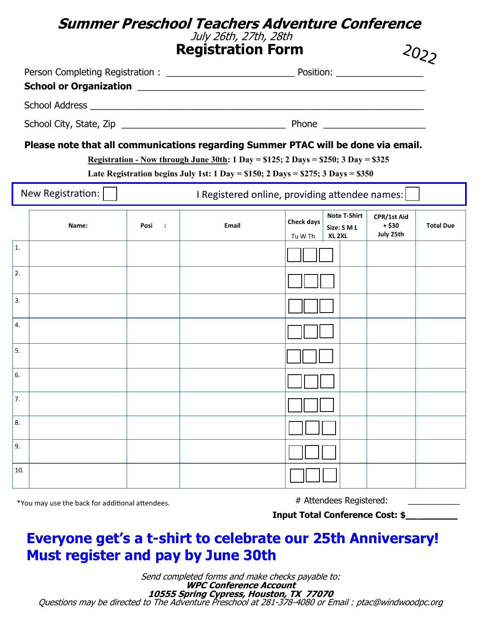### **Summer Preschool Teachers Adventure Conference** July 26th, 27th, 28th

**Registration Form**

|                         | <b>Registration Form</b>      |  |  |
|-------------------------|-------------------------------|--|--|
|                         |                               |  |  |
|                         |                               |  |  |
| School City, State, Zip | Phone _______________________ |  |  |

#### **Please note that all communications regarding Summer PTAC will be done via email.**

**Registration - Now through June 30th: 1 Day = \$125; 2 Days = \$250; 3 Day = \$325**

**Late Registration begins July 1st: 1 Day = \$150; 2 Days = \$275; 3 Days = \$350**

| New Registration:<br>I Registered online, providing attendee names: |       |                  |       |                                                                                         |                                     |                  |
|---------------------------------------------------------------------|-------|------------------|-------|-----------------------------------------------------------------------------------------|-------------------------------------|------------------|
|                                                                     | Name: | Posi<br>$\sim$ : | Email | <b>Note T-Shirt</b><br><b>Check days</b><br>Size: S M L<br>XL <sub>2XL</sub><br>Tu W Th | CPR/1st Aid<br>$+ $30$<br>July 25th | <b>Total Due</b> |
| 1.                                                                  |       |                  |       |                                                                                         |                                     |                  |
| 2.                                                                  |       |                  |       |                                                                                         |                                     |                  |
| 3.                                                                  |       |                  |       |                                                                                         |                                     |                  |
| 4.                                                                  |       |                  |       |                                                                                         |                                     |                  |
| 5.                                                                  |       |                  |       |                                                                                         |                                     |                  |
| 6.                                                                  |       |                  |       |                                                                                         |                                     |                  |
| 7.                                                                  |       |                  |       |                                                                                         |                                     |                  |
| 8.                                                                  |       |                  |       |                                                                                         |                                     |                  |
| 9.                                                                  |       |                  |       |                                                                                         |                                     |                  |
| 10.                                                                 |       |                  |       |                                                                                         |                                     |                  |

\*You may use the back for additional attendees.

# Attendees Registered:

**Input Total Conference Cost: \$\_\_ \_\_\_\_\_\_\_**

## **Everyone get's a t-shirt to celebrate our 25th Anniversary! Must register and pay by June 30th**

Send completed forms and make checks payable to: **WPC Conference Account 10555 Spring Cypress, Houston, TX 77070** Questions may be directed to The Adventure Preschool at 281-378-4080 or Email : ptac@windwoodpc.org